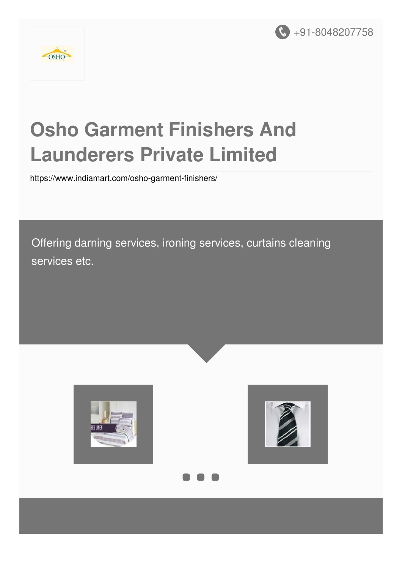



# **Osho Garment Finishers And Launderers Private Limited**

<https://www.indiamart.com/osho-garment-finishers/>

Offering darning services, ironing services, curtains cleaning services etc.





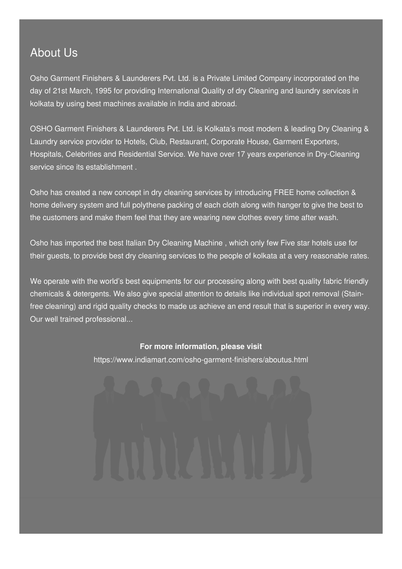### About Us

Osho Garment Finishers & Launderers Pvt. Ltd. is a Private Limited Company incorporated on the day of 21st March, 1995 for providing International Quality of dry Cleaning and laundry services in kolkata by using best machines available in India and abroad.

OSHO Garment Finishers & Launderers Pvt. Ltd. is Kolkata's most modern & leading Dry Cleaning & Laundry service provider to Hotels, Club, Restaurant, Corporate House, Garment Exporters, Hospitals, Celebrities and Residential Service. We have over 17 years experience in Dry-Cleaning service since its establishment .

Osho has created a new concept in dry cleaning services by introducing FREE home collection & home delivery system and full polythene packing of each cloth along with hanger to give the best to the customers and make them feel that they are wearing new clothes every time after wash.

Osho has imported the best Italian Dry Cleaning Machine , which only few Five star hotels use for their guests, to provide best dry cleaning services to the people of kolkata at a very reasonable rates.

We operate with the world's best equipments for our processing along with best quality fabric friendly chemicals & detergents. We also give special attention to details like individual spot removal (Stainfree cleaning) and rigid quality checks to made us achieve an end result that is superior in every way. Our well trained professional...

#### **For more information, please visit**

<https://www.indiamart.com/osho-garment-finishers/aboutus.html>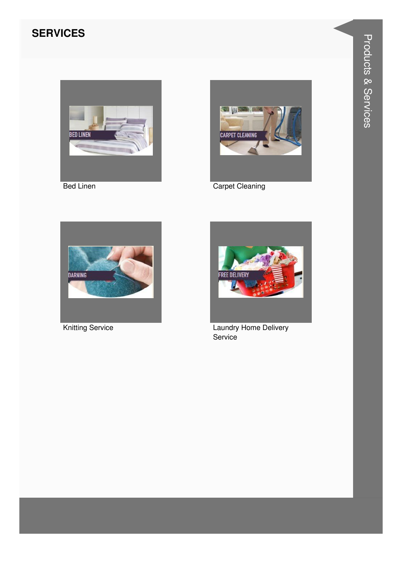#### **SERVICES**



**Bed Linen** 



**Carpet Cleaning** 



**Knitting Service** 



Laundry Home Delivery Service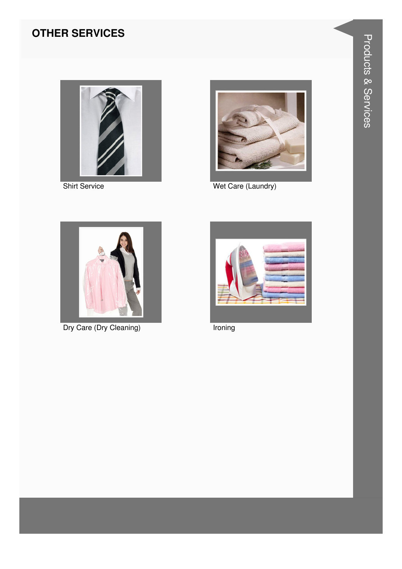#### **OTHER SERVICES**



**Shirt Service** 



Wet Care (Laundry)



Dry Care (Dry Cleaning)



Ironing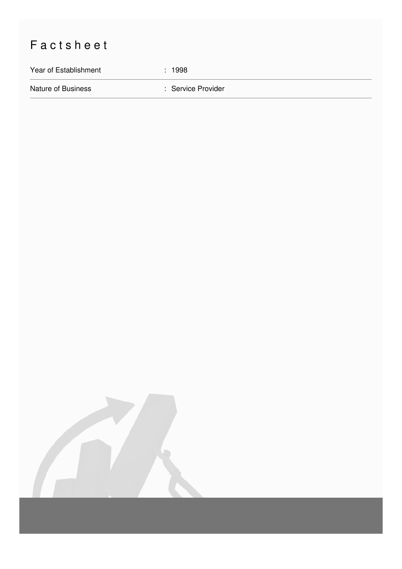## Factsheet

Year of Establishment : 1998

Nature of Business **in American Service Provider** : Service Provider